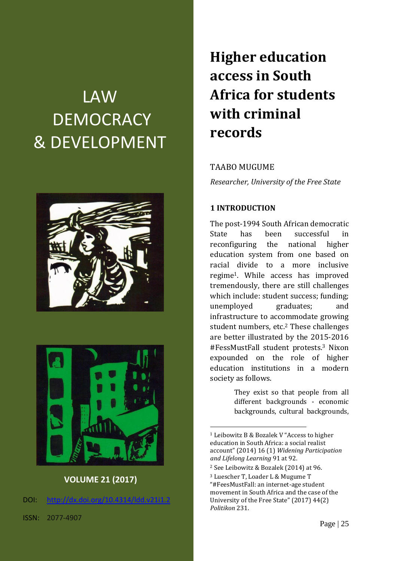# **LAW DEMOCRACY** & DEVELOPMENT





## **VOLUME 21 (2017)**

DOI: [http://dx.doi.org/10.4314/ldd.v21i1.2](http://dx.doi.org/10.4314/ldd.v21i1.)

ISSN: 2077-4907

## **Higher education access in South Africa for students with criminal records**

TAABO MUGUME *Researcher, University of the Free State*

#### **1 INTRODUCTION**

The post-1994 South African democratic State has been successful in reconfiguring the national higher education system from one based on racial divide to a more inclusive regime1. While access has improved tremendously, there are still challenges which include: student success; funding; unemployed graduates; and infrastructure to accommodate growing student numbers, etc. <sup>2</sup> These challenges are better illustrated by the 2015-2016 #FessMustFall student protests. <sup>3</sup> Nixon expounded on the role of higher education institutions in a modern society as follows.

> They exist so that people from all different backgrounds - economic backgrounds, cultural backgrounds,

<sup>1</sup> Leibowitz B & Bozalek V "Access to higher education in South Africa: a social realist account" (2014) 16 (1) *Widening Participation and Lifelong Learning* 91 at 92.

<sup>2</sup> See Leibowitz & Bozalek (2014) at 96.

<sup>3</sup> Luescher T, Loader L & Mugume T "#FeesMustFall: an internet-age student movement in South Africa and the case of the University of the Free State" (2017) 44(2) *Politikon* 231.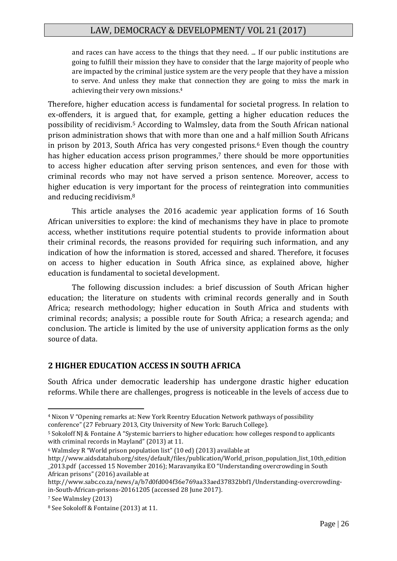and races can have access to the things that they need. ... If our public institutions are going to fulfill their mission they have to consider that the large majority of people who are impacted by the criminal justice system are the very people that they have a mission to serve. And unless they make that connection they are going to miss the mark in achieving their very own missions. 4

Therefore, higher education access is fundamental for societal progress. In relation to ex-offenders, it is argued that, for example, getting a higher education reduces the possibility of recidivism. <sup>5</sup> According to Walmsley, data from the South African national prison administration shows that with more than one and a half million South Africans in prison by 2013, South Africa has very congested prisons. <sup>6</sup> Even though the country has higher education access prison programmes, <sup>7</sup> there should be more opportunities to access higher education after serving prison sentences, and even for those with criminal records who may not have served a prison sentence. Moreover, access to higher education is very important for the process of reintegration into communities and reducing recidivism. 8

This article analyses the 2016 academic year application forms of 16 South African universities to explore: the kind of mechanisms they have in place to promote access, whether institutions require potential students to provide information about their criminal records, the reasons provided for requiring such information, and any indication of how the information is stored, accessed and shared. Therefore, it focuses on access to higher education in South Africa since, as explained above, higher education is fundamental to societal development.

The following discussion includes: a brief discussion of South African higher education; the literature on students with criminal records generally and in South Africa; research methodology; higher education in South Africa and students with criminal records; analysis; a possible route for South Africa; a research agenda; and conclusion. The article is limited by the use of university application forms as the only source of data.

#### **2 HIGHER EDUCATION ACCESS IN SOUTH AFRICA**

South Africa under democratic leadership has undergone drastic higher education reforms. While there are challenges, progress is noticeable in the levels of access due to

<sup>4</sup> Nixon V "Opening remarks at: New York Reentry Education Network pathways of possibility conference" (27 February 2013, City University of New York: Baruch College).

<sup>5</sup> Sokoloff NJ & Fontaine A "Systemic barriers to higher education: how colleges respond to applicants with criminal records in Mayland" (2013) at 11.

<sup>6</sup> Walmsley R "World prison population list" (10 ed) (2013) available at

http://www.aidsdatahub.org/sites/default/files/publication/World\_prison\_population\_list\_10th\_edition \_2013.pdf (accessed 15 November 2016); Maravanyika EO "Understanding overcrowding in South African prisons" (2016) available at

http://www.sabc.co.za/news/a/b7d0fd004f36e769aa33aed37832bbf1/Understanding-overcrowdingin-South-African-prisons-20161205 (accessed 28 June 2017).

<sup>7</sup> See Walmsley (2013)

<sup>8</sup> See Sokoloff & Fontaine (2013) at 11.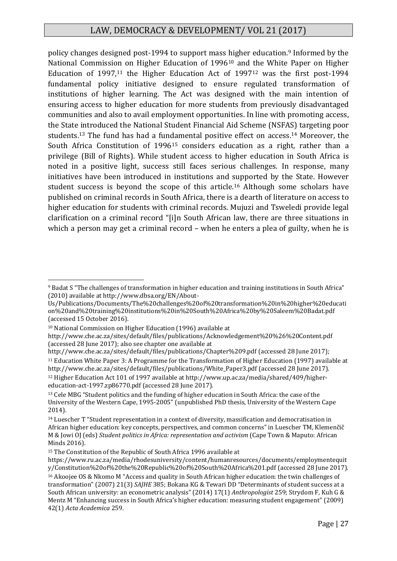policy changes designed post-1994 to support mass higher education. <sup>9</sup> Informed by the National Commission on Higher Education of 1996<sup>10</sup> and the White Paper on Higher Education of 1997,<sup>11</sup> the Higher Education Act of 1997<sup>12</sup> was the first post-1994 fundamental policy initiative designed to ensure regulated transformation of institutions of higher learning. The Act was designed with the main intention of ensuring access to higher education for more students from previously disadvantaged communities and also to avail employment opportunities. In line with promoting access, the State introduced the National Student Financial Aid Scheme (NSFAS) targeting poor students.<sup>13</sup> The fund has had a fundamental positive effect on access.<sup>14</sup> Moreover, the South Africa Constitution of 1996<sup>15</sup> considers education as a right, rather than a privilege (Bill of Rights). While student access to higher education in South Africa is noted in a positive light, success still faces serious challenges. In response, many initiatives have been introduced in institutions and supported by the State. However student success is beyond the scope of this article. <sup>16</sup> Although some scholars have published on criminal records in South Africa, there is a dearth of literature on access to higher education for students with criminal records. Mujuzi and Tsweledi provide legal clarification on a criminal record "[i]n South African law, there are three situations in which a person may get a criminal record – when he enters a plea of guilty, when he is

<u>.</u>

<sup>11</sup> Education White Paper 3: A Programme for the Transformation of Higher Education (1997) available at http://www.che.ac.za/sites/default/files/publications/White Paper3.pdf (accessed 28 June 2017).

<sup>12</sup> Higher Education Act 101 of 1997 available at http://www.up.ac.za/media/shared/409/highereducation-act-1997.zp86770.pdf (accessed 28 June 2017).

<sup>9</sup> Badat S "The challenges of transformation in higher education and training institutions in South Africa" (2010) available at http://www.dbsa.org/EN/About-

Us/Publications/Documents/The%20challenges%20of%20transformation%20in%20higher%20educati on%20and%20training%20institutions%20in%20South%20Africa%20by%20Saleem%20Badat.pdf (accessed 15 October 2016).

<sup>10</sup> National Commission on Higher Education (1996) available at

http://www.che.ac.za/sites/default/files/publications/Acknowledgement%20%26%20Content.pdf (accessed 28 June 2017); also see chapter one available at

http://www.che.ac.za/sites/default/files/publications/Chapter%209.pdf (accessed 28 June 2017);

<sup>13</sup> Cele MBG "Student politics and the funding of higher education in South Africa: the case of the University of the Western Cape, 1995-2005" (unpublished PhD thesis, University of the Western Cape 2014).

<sup>14</sup> Luescher T "Student representation in a context of diversity, massification and democratisation in African higher education: key concepts, perspectives, and common concerns" in Luescher TM, Klemenčič M & Jowi OJ (eds) *Student politics in Africa: representation and activism* (Cape Town & Maputo: African Minds 2016).

<sup>&</sup>lt;sup>15</sup> The Constitution of the Republic of South Africa 1996 available at

https://www.ru.ac.za/media/rhodesuniversity/content/humanresources/documents/employmentequit y/Constitution%20of%20the%20Republic%20of%20South%20Africa%201.pdf (accessed 28 June 2017). <sup>16</sup> Akoojee OS & Nkomo M "Access and quality in South African higher education: the twin challenges of transformation" (2007) 21(3) *SAJHE* 385; Bokana KG & Tewari DD "Determinants of student success at a South African university: an econometric analysis" (2014) 17(1) *Anthropologist* 259; Strydom F, Kuh G & Mentz M "Enhancing success in South Africa's higher education: measuring student engagement" (2009) 42(1) *Acta Academica* 259.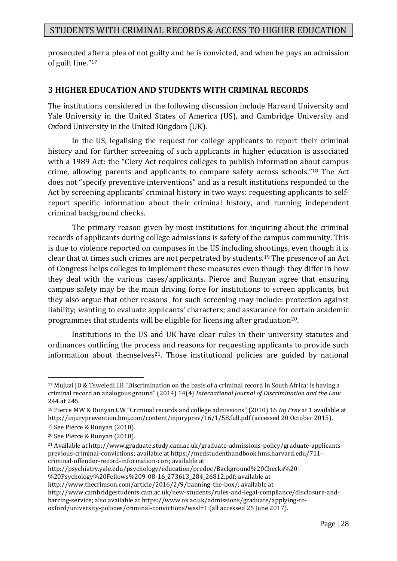prosecuted after a plea of not guilty and he is convicted, and when he pays an admission of guilt fine."<sup>17</sup>

#### **3 HIGHER EDUCATION AND STUDENTS WITH CRIMINAL RECORDS**

The institutions considered in the following discussion include Harvard University and Yale University in the United States of America (US), and Cambridge University and Oxford University in the United Kingdom (UK).

In the US, legalising the request for college applicants to report their criminal history and for further screening of such applicants in higher education is associated with a 1989 Act: the "Clery Act requires colleges to publish information about campus crime, allowing parents and applicants to compare safety across schools." <sup>18</sup> The Act does not "specify preventive interventions" and as a result institutions responded to the Act by screening applicants' criminal history in two ways: requesting applicants to selfreport specific information about their criminal history, and running independent criminal background checks.

The primary reason given by most institutions for inquiring about the criminal records of applicants during college admissions is safety of the campus community. This is due to violence reported on campuses in the US including shootings, even though it is clear that at times such crimes are not perpetrated by students. <sup>19</sup> The presence of an Act of Congress helps colleges to implement these measures even though they differ in how they deal with the various cases/applicants. Pierce and Runyan agree that ensuring campus safety may be the main driving force for institutions to screen applicants, but they also argue that other reasons for such screening may include: protection against liability; wanting to evaluate applicants' characters; and assurance for certain academic programmes that students will be eligible for licensing after graduation20.

Institutions in the US and UK have clear rules in their university statutes and ordinances outlining the process and reasons for requesting applicants to provide such information about themselves<sup>21</sup>. Those institutional policies are guided by national

<u>.</u>

<sup>17</sup> Mujuzi JD & Tsweledi LB "Discrimination on the basis of a criminal record in South Africa: is having a criminal record an analogous ground" (2014) 14(4) *International Journal of Discrimination and the Law* 244 at 245.

<sup>18</sup> Pierce MW & Runyan CW "Criminal records and college admissions" (2010) 16 *Inj Prev* at 1 available at http://injuryprevention.bmj.com/content/injuryprev/16/1/58.full.pdf (accessed 20 October 2015).

<sup>19</sup> See Pierce & Runyan (2010).

<sup>20</sup> See Pierce & Runyan (2010).

<sup>21</sup> Available at http://www.graduate.study.cam.ac.uk/graduate-admissions-policy/graduate-applicantsprevious-criminal-convictions; available at https://medstudenthandbook.hms.harvard.edu/711 criminal-offender-record-information-cori; available at

http://psychiatry.yale.edu/psychology/education/predoc/Background%20Checks%20-

<sup>%20</sup>Psychology%20Fellows%209-08-16\_273613\_284\_26812.pdf; available at

http://www.thecrimson.com/article/2016/2/9/banning-the-box/; available at

http://www.cambridgestudents.cam.ac.uk/new-students/rules-and-legal-compliance/disclosure-andbarring-service; also available at https://www.ox.ac.uk/admissions/graduate/applying-tooxford/university-policies/criminal-convictions?wssl=1 (all accessed 25 June 2017).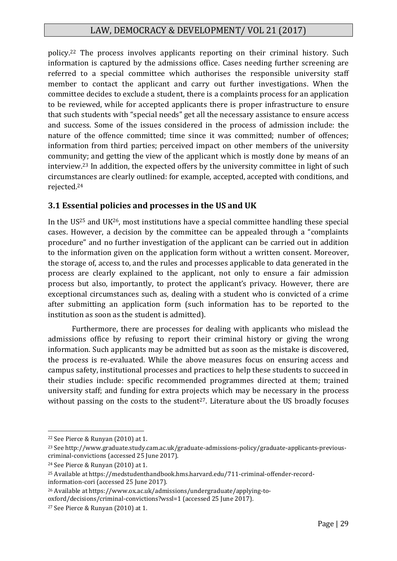policy. <sup>22</sup> The process involves applicants reporting on their criminal history. Such information is captured by the admissions office. Cases needing further screening are referred to a special committee which authorises the responsible university staff member to contact the applicant and carry out further investigations. When the committee decides to exclude a student, there is a complaints process for an application to be reviewed, while for accepted applicants there is proper infrastructure to ensure that such students with "special needs" get all the necessary assistance to ensure access and success. Some of the issues considered in the process of admission include: the nature of the offence committed; time since it was committed; number of offences; information from third parties; perceived impact on other members of the university community; and getting the view of the applicant which is mostly done by means of an interview. <sup>23</sup> In addition, the expected offers by the university committee in light of such circumstances are clearly outlined: for example, accepted, accepted with conditions, and rejected. 24

#### **3.1 Essential policies and processes in the US and UK**

In the US<sup>25</sup> and UK<sup>26</sup>, most institutions have a special committee handling these special cases. However, a decision by the committee can be appealed through a "complaints procedure" and no further investigation of the applicant can be carried out in addition to the information given on the application form without a written consent. Moreover, the storage of, access to, and the rules and processes applicable to data generated in the process are clearly explained to the applicant, not only to ensure a fair admission process but also, importantly, to protect the applicant's privacy. However, there are exceptional circumstances such as, dealing with a student who is convicted of a crime after submitting an application form (such information has to be reported to the institution as soon as the student is admitted).

Furthermore, there are processes for dealing with applicants who mislead the admissions office by refusing to report their criminal history or giving the wrong information. Such applicants may be admitted but as soon as the mistake is discovered, the process is re-evaluated. While the above measures focus on ensuring access and campus safety, institutional processes and practices to help these students to succeed in their studies include: specific recommended programmes directed at them; trained university staff; and funding for extra projects which may be necessary in the process without passing on the costs to the student $27$ . Literature about the US broadly focuses

<u>.</u>

<sup>22</sup> See Pierce & Runyan (2010) at 1.

<sup>23</sup> See http://www.graduate.study.cam.ac.uk/graduate-admissions-policy/graduate-applicants-previouscriminal-convictions (accessed 25 June 2017).

<sup>24</sup> See Pierce & Runyan (2010) at 1.

<sup>25</sup> Available at https://medstudenthandbook.hms.harvard.edu/711-criminal-offender-recordinformation-cori (accessed 25 June 2017).

<sup>26</sup> Available at https://www.ox.ac.uk/admissions/undergraduate/applying-to-

oxford/decisions/criminal-convictions?wssl=1 (accessed 25 June 2017).

<sup>27</sup> See Pierce & Runyan (2010) at 1.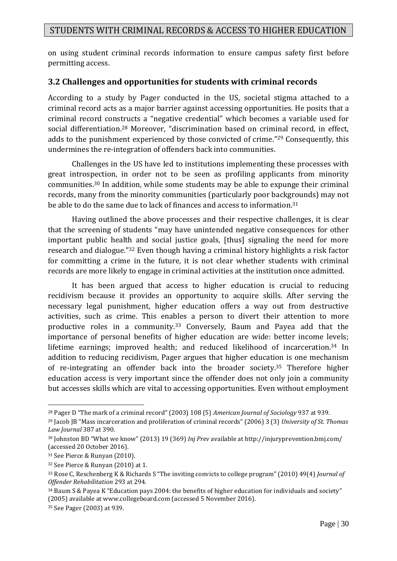on using student criminal records information to ensure campus safety first before permitting access.

#### **3.2 Challenges and opportunities for students with criminal records**

According to a study by Pager conducted in the US, societal stigma attached to a criminal record acts as a major barrier against accessing opportunities. He posits that a criminal record constructs a "negative credential" which becomes a variable used for social differentiation. <sup>28</sup> Moreover, "discrimination based on criminal record, in effect, adds to the punishment experienced by those convicted of crime."<sup>29</sup> Consequently, this undermines the re-integration of offenders back into communities.

Challenges in the US have led to institutions implementing these processes with great introspection, in order not to be seen as profiling applicants from minority communities. <sup>30</sup> In addition, while some students may be able to expunge their criminal records, many from the minority communities (particularly poor backgrounds) may not be able to do the same due to lack of finances and access to information. 31

Having outlined the above processes and their respective challenges, it is clear that the screening of students "may have unintended negative consequences for other important public health and social justice goals, [thus] signaling the need for more research and dialogue." <sup>32</sup> Even though having a criminal history highlights a risk factor for committing a crime in the future, it is not clear whether students with criminal records are more likely to engage in criminal activities at the institution once admitted.

It has been argued that access to higher education is crucial to reducing recidivism because it provides an opportunity to acquire skills. After serving the necessary legal punishment, higher education offers a way out from destructive activities, such as crime. This enables a person to divert their attention to more productive roles in a community. <sup>33</sup> Conversely, Baum and Payea add that the importance of personal benefits of higher education are wide: better income levels; lifetime earnings; improved health; and reduced likelihood of incarceration. <sup>34</sup> In addition to reducing recidivism, Pager argues that higher education is one mechanism of re-integrating an offender back into the broader society. <sup>35</sup> Therefore higher education access is very important since the offender does not only join a community but accesses skills which are vital to accessing opportunities. Even without employment

<sup>28</sup> Pager D "The mark of a criminal record" (2003) 108 (5) *American Journal of Sociology* 937 at 939.

<sup>29</sup> Jacob JB "Mass incarceration and proliferation of criminal records" (2006) 3 (3) *University of St. Thomas Law Journal* 387 at 390.

<sup>30</sup> Johnston BD "What we know" (2013) 19 (369) *Inj Prev* available at http://injuryprevention.bmj.com/ (accessed 20 October 2016).

<sup>31</sup> See Pierce & Runyan (2010).

<sup>32</sup> See Pierce & Runyan (2010) at 1.

<sup>33</sup> Rose C, Reschenberg K & Richards S "The inviting convicts to college program" (2010) 49(4) *Journal of Offender Rehabilitation* 293 at 294.

<sup>34</sup> Baum S & Payea K "Education pays 2004: the benefits of higher education for individuals and society" (2005) available at www.collegeboard.com (accessed 5 November 2016).

<sup>35</sup> See Pager (2003) at 939.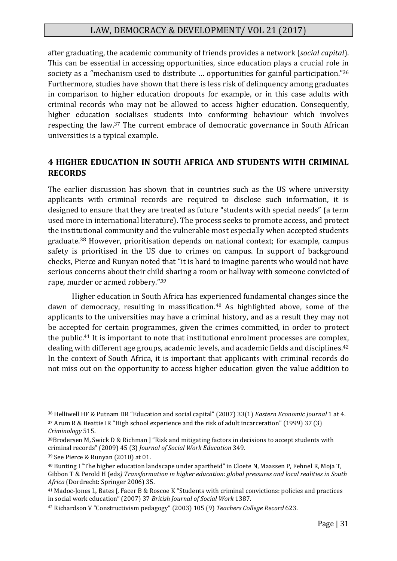after graduating, the academic community of friends provides a network (*social capital*). This can be essential in accessing opportunities, since education plays a crucial role in society as a "mechanism used to distribute ... opportunities for gainful participation."<sup>36</sup> Furthermore, studies have shown that there is less risk of delinquency among graduates in comparison to higher education dropouts for example, or in this case adults with criminal records who may not be allowed to access higher education. Consequently, higher education socialises students into conforming behaviour which involves respecting the law. <sup>37</sup> The current embrace of democratic governance in South African universities is a typical example.

## **4 HIGHER EDUCATION IN SOUTH AFRICA AND STUDENTS WITH CRIMINAL RECORDS**

The earlier discussion has shown that in countries such as the US where university applicants with criminal records are required to disclose such information, it is designed to ensure that they are treated as future "students with special needs" (a term used more in international literature). The process seeks to promote access, and protect the institutional community and the vulnerable most especially when accepted students graduate. <sup>38</sup> However, prioritisation depends on national context; for example, campus safety is prioritised in the US due to crimes on campus. In support of background checks, Pierce and Runyan noted that "it is hard to imagine parents who would not have serious concerns about their child sharing a room or hallway with someone convicted of rape, murder or armed robbery."*<sup>39</sup>*

Higher education in South Africa has experienced fundamental changes since the dawn of democracy, resulting in massification. <sup>40</sup> As highlighted above, some of the applicants to the universities may have a criminal history, and as a result they may not be accepted for certain programmes, given the crimes committed, in order to protect the public. <sup>41</sup> It is important to note that institutional enrolment processes are complex, dealing with different age groups, academic levels, and academic fields and disciplines. 42 In the context of South Africa, it is important that applicants with criminal records do not miss out on the opportunity to access higher education given the value addition to

<sup>36</sup> Helliwell HF & Putnam DR "Education and social capital" (2007) 33(1) *Eastern Economic Journal* 1 at 4. <sup>37</sup> Arum R & Beattie IR "High school experience and the risk of adult incarceration" (1999) 37 (3)

*Criminology* 515.

<sup>38</sup>Brodersen M, Swick D & Richman J "Risk and mitigating factors in decisions to accept students with criminal records" (2009) 45 (3) *Journal of Social Work Education* 349.

<sup>39</sup> See Pierce & Runyan (2010) at 01.

<sup>40</sup> Bunting I "The higher education landscape under apartheid" in Cloete N, Maassen P, Fehnel R, Moja T, Gibbon T & Perold H (eds*) Transformation in higher education: global pressures and local realities in South Africa* (Dordrecht: Springer 2006) 35.

<sup>41</sup> Madoc-Jones L, Bates J, Facer B & Roscoe K "Students with criminal convictions: policies and practices in social work education" (2007) 37 *British Journal of Social Work* 1387.

<sup>42</sup> Richardson V "Constructivism pedagogy" (2003) 105 (9) *Teachers College Record* 623.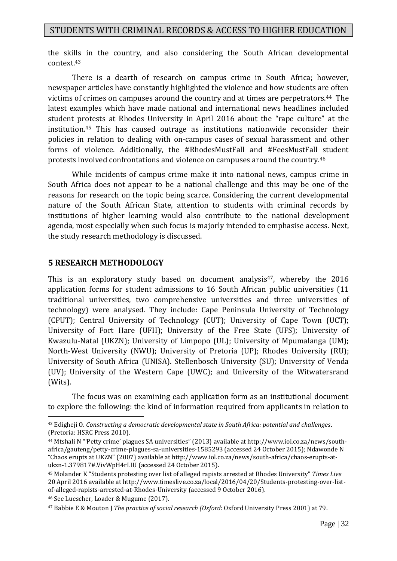the skills in the country, and also considering the South African developmental context. 43

There is a dearth of research on campus crime in South Africa; however, newspaper articles have constantly highlighted the violence and how students are often victims of crimes on campuses around the country and at times are perpetrators. <sup>44</sup> The latest examples which have made national and international news headlines included student protests at Rhodes University in April 2016 about the "rape culture" at the institution. <sup>45</sup> This has caused outrage as institutions nationwide reconsider their policies in relation to dealing with on-campus cases of sexual harassment and other forms of violence. Additionally, the #RhodesMustFall and #FeesMustFall student protests involved confrontations and violence on campuses around the country.<sup>46</sup>

While incidents of campus crime make it into national news, campus crime in South Africa does not appear to be a national challenge and this may be one of the reasons for research on the topic being scarce. Considering the current developmental nature of the South African State, attention to students with criminal records by institutions of higher learning would also contribute to the national development agenda, most especially when such focus is majorly intended to emphasise access. Next, the study research methodology is discussed.

## **5 RESEARCH METHODOLOGY**

This is an exploratory study based on document analysis<sup>47</sup>, whereby the 2016 application forms for student admissions to 16 South African public universities (11 traditional universities, two comprehensive universities and three universities of technology) were analysed. They include: Cape Peninsula University of Technology (CPUT); Central University of Technology (CUT); University of Cape Town (UCT); University of Fort Hare (UFH); University of the Free State (UFS); University of Kwazulu-Natal (UKZN); University of Limpopo (UL); University of Mpumalanga (UM); North-West University (NWU); University of Pretoria (UP); Rhodes University (RU); University of South Africa (UNISA). Stellenbosch University (SU); University of Venda (UV); University of the Western Cape (UWC); and University of the Witwatersrand (Wits).

The focus was on examining each application form as an institutional document to explore the following: the kind of information required from applicants in relation to

<sup>46</sup> See Luescher, Loader & Mugume (2017).

<sup>43</sup> Edigheji O. *Constructing a democratic developmental state in South Africa: potential and challenges*. (Pretoria: HSRC Press 2010).

<sup>44</sup> Mtshali N "'Petty crime' plagues SA universities" (2013) available at http://www.iol.co.za/news/southafrica/gauteng/petty-crime-plagues-sa-universities-1585293 (accessed 24 October 2015); Ndawonde N "Chaos erupts at UKZN" (2007) available at http://www.iol.co.za/news/south-africa/chaos-erupts-atukzn-1.379817#.VivWpH4rLIU (accessed 24 October 2015).

<sup>45</sup> Molander K "Students protesting over list of alleged rapists arrested at Rhodes University" *Times Live* 20 April 2016 available at http://www.timeslive.co.za/local/2016/04/20/Students-protesting-over-listof-alleged-rapists-arrested-at-Rhodes-University (accessed 9 October 2016).

<sup>47</sup> Babbie E & Mouton J *The practice of social research (Oxford*: Oxford University Press 2001) at 79.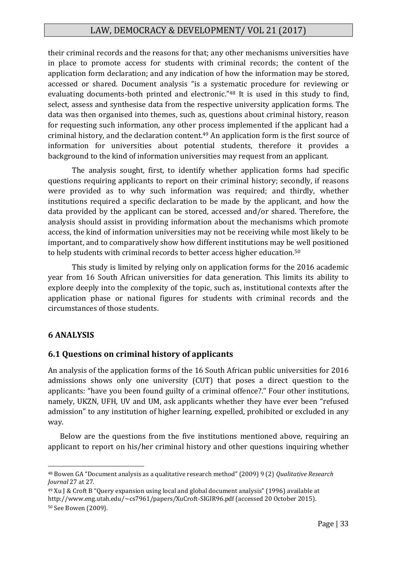their criminal records and the reasons for that; any other mechanisms universities have in place to promote access for students with criminal records; the content of the application form declaration; and any indication of how the information may be stored, accessed or shared. Document analysis "is a systematic procedure for reviewing or evaluating documents-both printed and electronic."<sup>48</sup> It is used in this study to find, select, assess and synthesise data from the respective university application forms. The data was then organised into themes, such as, questions about criminal history, reason for requesting such information, any other process implemented if the applicant had a criminal history, and the declaration content. <sup>49</sup> An application form is the first source of information for universities about potential students, therefore it provides a background to the kind of information universities may request from an applicant.

The analysis sought, first, to identify whether application forms had specific questions requiring applicants to report on their criminal history; secondly, if reasons were provided as to why such information was required; and thirdly, whether institutions required a specific declaration to be made by the applicant, and how the data provided by the applicant can be stored, accessed and/or shared. Therefore, the analysis should assist in providing information about the mechanisms which promote access, the kind of information universities may not be receiving while most likely to be important, and to comparatively show how different institutions may be well positioned to help students with criminal records to better access higher education.<sup>50</sup>

This study is limited by relying only on application forms for the 2016 academic year from 16 South African universities for data generation. This limits its ability to explore deeply into the complexity of the topic, such as, institutional contexts after the application phase or national figures for students with criminal records and the circumstances of those students.

#### **6 ANALYSIS**

1

#### **6.1 Questions on criminal history of applicants**

An analysis of the application forms of the 16 South African public universities for 2016 admissions shows only one university (CUT) that poses a direct question to the applicants: "have you been found guilty of a criminal offence?." Four other institutions, namely, UKZN, UFH, UV and UM, ask applicants whether they have ever been "refused admission" to any institution of higher learning, expelled, prohibited or excluded in any way.

Below are the questions from the five institutions mentioned above, requiring an applicant to report on his/her criminal history and other questions inquiring whether

<sup>48</sup> Bowen GA "Document analysis as a qualitative research method" (2009) 9 (2) *Qualitative Research Journal* 27 at 27.

<sup>49</sup> Xu J & Croft B "Query expansion using local and global document analysis" (1996) available at http://www.eng.utah.edu/~cs7961/papers/XuCroft-SIGIR96.pdf (accessed 20 October 2015). <sup>50</sup> See Bowen (2009).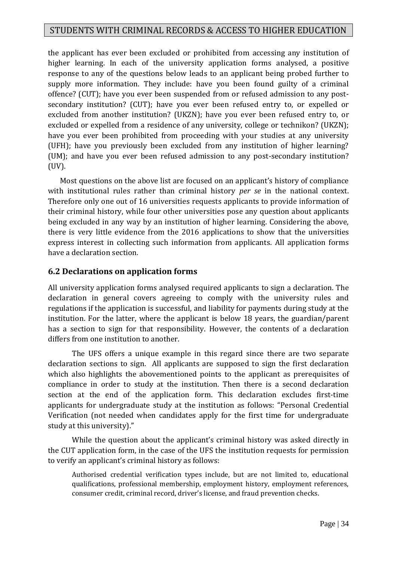the applicant has ever been excluded or prohibited from accessing any institution of higher learning. In each of the university application forms analysed, a positive response to any of the questions below leads to an applicant being probed further to supply more information. They include: have you been found guilty of a criminal offence? (CUT); have you ever been suspended from or refused admission to any postsecondary institution? (CUT); have you ever been refused entry to, or expelled or excluded from another institution? (UKZN); have you ever been refused entry to, or excluded or expelled from a residence of any university, college or technikon? (UKZN); have you ever been prohibited from proceeding with your studies at any university (UFH); have you previously been excluded from any institution of higher learning? (UM); and have you ever been refused admission to any post-secondary institution? (UV).

Most questions on the above list are focused on an applicant's history of compliance with institutional rules rather than criminal history *per se* in the national context. Therefore only one out of 16 universities requests applicants to provide information of their criminal history, while four other universities pose any question about applicants being excluded in any way by an institution of higher learning. Considering the above, there is very little evidence from the 2016 applications to show that the universities express interest in collecting such information from applicants. All application forms have a declaration section.

#### **6.2 Declarations on application forms**

All university application forms analysed required applicants to sign a declaration. The declaration in general covers agreeing to comply with the university rules and regulations if the application is successful, and liability for payments during study at the institution. For the latter, where the applicant is below 18 years, the guardian/parent has a section to sign for that responsibility. However, the contents of a declaration differs from one institution to another.

The UFS offers a unique example in this regard since there are two separate declaration sections to sign. All applicants are supposed to sign the first declaration which also highlights the abovementioned points to the applicant as prerequisites of compliance in order to study at the institution. Then there is a second declaration section at the end of the application form. This declaration excludes first-time applicants for undergraduate study at the institution as follows: "Personal Credential Verification (not needed when candidates apply for the first time for undergraduate study at this university)."

While the question about the applicant's criminal history was asked directly in the CUT application form, in the case of the UFS the institution requests for permission to verify an applicant's criminal history as follows:

Authorised credential verification types include, but are not limited to, educational qualifications, professional membership, employment history, employment references, consumer credit, criminal record, driver's license, and fraud prevention checks.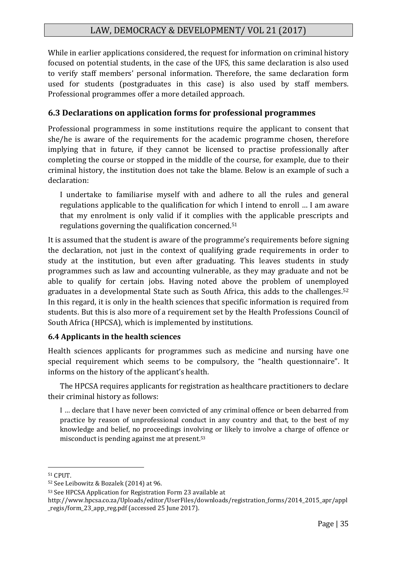While in earlier applications considered, the request for information on criminal history focused on potential students, in the case of the UFS, this same declaration is also used to verify staff members' personal information. Therefore, the same declaration form used for students (postgraduates in this case) is also used by staff members. Professional programmes offer a more detailed approach.

#### **6.3 Declarations on application forms for professional programmes**

Professional programmess in some institutions require the applicant to consent that she/he is aware of the requirements for the academic programme chosen, therefore implying that in future, if they cannot be licensed to practise professionally after completing the course or stopped in the middle of the course, for example, due to their criminal history, the institution does not take the blame. Below is an example of such a declaration:

I undertake to familiarise myself with and adhere to all the rules and general regulations applicable to the qualification for which I intend to enroll … I am aware that my enrolment is only valid if it complies with the applicable prescripts and regulations governing the qualification concerned. 51

It is assumed that the student is aware of the programme's requirements before signing the declaration, not just in the context of qualifying grade requirements in order to study at the institution, but even after graduating. This leaves students in study programmes such as law and accounting vulnerable, as they may graduate and not be able to qualify for certain jobs. Having noted above the problem of unemployed graduates in a developmental State such as South Africa, this adds to the challenges. 52 In this regard, it is only in the health sciences that specific information is required from students. But this is also more of a requirement set by the Health Professions Council of South Africa (HPCSA), which is implemented by institutions.

#### **6.4 Applicants in the health sciences**

Health sciences applicants for programmes such as medicine and nursing have one special requirement which seems to be compulsory, the "health questionnaire". It informs on the history of the applicant's health.

The HPCSA requires applicants for registration as healthcare practitioners to declare their criminal history as follows:

I … declare that I have never been convicted of any criminal offence or been debarred from practice by reason of unprofessional conduct in any country and that, to the best of my knowledge and belief, no proceedings involving or likely to involve a charge of offence or misconduct is pending against me at present. 53

<sup>51</sup> CPUT.

<sup>52</sup> See Leibowitz & Bozalek (2014) at 96.

<sup>53</sup> See HPCSA Application for Registration Form 23 available at

http://www.hpcsa.co.za/Uploads/editor/UserFiles/downloads/registration\_forms/2014\_2015\_apr/appl \_regis/form\_23\_app\_reg.pdf (accessed 25 June 2017).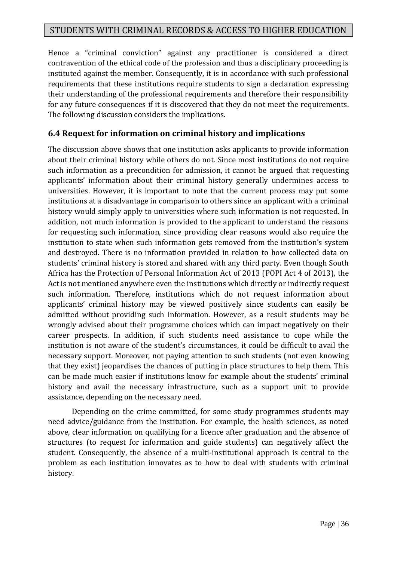Hence a "criminal conviction" against any practitioner is considered a direct contravention of the ethical code of the profession and thus a disciplinary proceeding is instituted against the member. Consequently, it is in accordance with such professional requirements that these institutions require students to sign a declaration expressing their understanding of the professional requirements and therefore their responsibility for any future consequences if it is discovered that they do not meet the requirements. The following discussion considers the implications.

## **6.4 Request for information on criminal history and implications**

The discussion above shows that one institution asks applicants to provide information about their criminal history while others do not. Since most institutions do not require such information as a precondition for admission, it cannot be argued that requesting applicants' information about their criminal history generally undermines access to universities. However, it is important to note that the current process may put some institutions at a disadvantage in comparison to others since an applicant with a criminal history would simply apply to universities where such information is not requested. In addition, not much information is provided to the applicant to understand the reasons for requesting such information, since providing clear reasons would also require the institution to state when such information gets removed from the institution's system and destroyed. There is no information provided in relation to how collected data on students' criminal history is stored and shared with any third party. Even though South Africa has the Protection of Personal Information Act of 2013 (POPI Act 4 of 2013), the Act is not mentioned anywhere even the institutions which directly or indirectly request such information. Therefore, institutions which do not request information about applicants' criminal history may be viewed positively since students can easily be admitted without providing such information. However, as a result students may be wrongly advised about their programme choices which can impact negatively on their career prospects. In addition, if such students need assistance to cope while the institution is not aware of the student's circumstances, it could be difficult to avail the necessary support. Moreover, not paying attention to such students (not even knowing that they exist) jeopardises the chances of putting in place structures to help them. This can be made much easier if institutions know for example about the students' criminal history and avail the necessary infrastructure, such as a support unit to provide assistance, depending on the necessary need.

Depending on the crime committed, for some study programmes students may need advice/guidance from the institution. For example, the health sciences, as noted above, clear information on qualifying for a licence after graduation and the absence of structures (to request for information and guide students) can negatively affect the student. Consequently, the absence of a multi-institutional approach is central to the problem as each institution innovates as to how to deal with students with criminal history.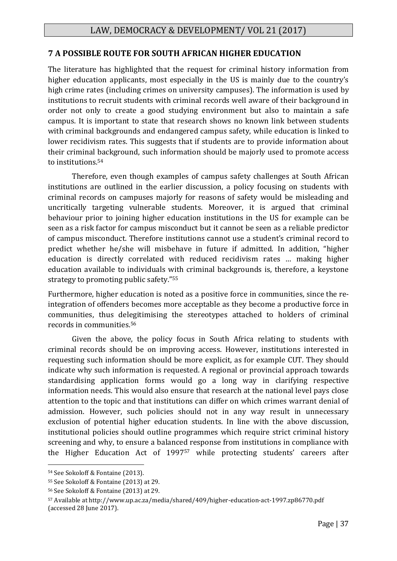## **7 A POSSIBLE ROUTE FOR SOUTH AFRICAN HIGHER EDUCATION**

The literature has highlighted that the request for criminal history information from higher education applicants, most especially in the US is mainly due to the country's high crime rates (including crimes on university campuses). The information is used by institutions to recruit students with criminal records well aware of their background in order not only to create a good studying environment but also to maintain a safe campus. It is important to state that research shows no known link between students with criminal backgrounds and endangered campus safety, while education is linked to lower recidivism rates. This suggests that if students are to provide information about their criminal background, such information should be majorly used to promote access to institutions. 54

Therefore, even though examples of campus safety challenges at South African institutions are outlined in the earlier discussion, a policy focusing on students with criminal records on campuses majorly for reasons of safety would be misleading and uncritically targeting vulnerable students. Moreover, it is argued that criminal behaviour prior to joining higher education institutions in the US for example can be seen as a risk factor for campus misconduct but it cannot be seen as a reliable predictor of campus misconduct. Therefore institutions cannot use a student's criminal record to predict whether he/she will misbehave in future if admitted. In addition, "higher education is directly correlated with reduced recidivism rates … making higher education available to individuals with criminal backgrounds is, therefore, a keystone strategy to promoting public safety." 55

Furthermore, higher education is noted as a positive force in communities, since the reintegration of offenders becomes more acceptable as they become a productive force in communities, thus delegitimising the stereotypes attached to holders of criminal records in communities. 56

Given the above, the policy focus in South Africa relating to students with criminal records should be on improving access. However, institutions interested in requesting such information should be more explicit, as for example CUT. They should indicate why such information is requested. A regional or provincial approach towards standardising application forms would go a long way in clarifying respective information needs. This would also ensure that research at the national level pays close attention to the topic and that institutions can differ on which crimes warrant denial of admission. However, such policies should not in any way result in unnecessary exclusion of potential higher education students. In line with the above discussion, institutional policies should outline programmes which require strict criminal history screening and why, to ensure a balanced response from institutions in compliance with the Higher Education Act of 1997<sup>57</sup> while protecting students' careers after

<sup>54</sup> See Sokoloff & Fontaine (2013).

<sup>55</sup> See Sokoloff & Fontaine (2013) at 29.

<sup>56</sup> See Sokoloff & Fontaine (2013) at 29.

<sup>57</sup> Available at http://www.up.ac.za/media/shared/409/higher-education-act-1997.zp86770.pdf (accessed 28 June 2017).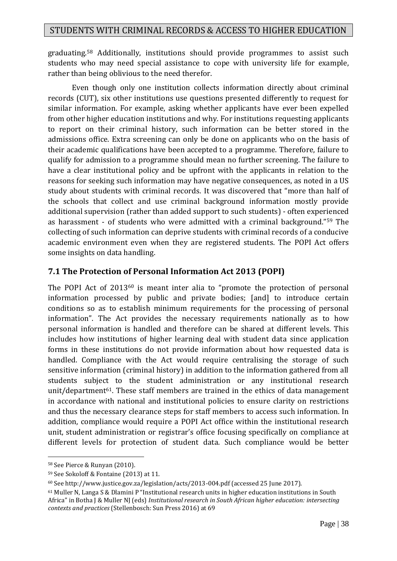graduating. <sup>58</sup> Additionally, institutions should provide programmes to assist such students who may need special assistance to cope with university life for example, rather than being oblivious to the need therefor.

Even though only one institution collects information directly about criminal records (CUT), six other institutions use questions presented differently to request for similar information. For example, asking whether applicants have ever been expelled from other higher education institutions and why. For institutions requesting applicants to report on their criminal history, such information can be better stored in the admissions office. Extra screening can only be done on applicants who on the basis of their academic qualifications have been accepted to a programme. Therefore, failure to qualify for admission to a programme should mean no further screening. The failure to have a clear institutional policy and be upfront with the applicants in relation to the reasons for seeking such information may have negative consequences, as noted in a US study about students with criminal records. It was discovered that "more than half of the schools that collect and use criminal background information mostly provide additional supervision (rather than added support to such students) - often experienced as harassment - of students who were admitted with a criminal background." <sup>59</sup> The collecting of such information can deprive students with criminal records of a conducive academic environment even when they are registered students. The POPI Act offers some insights on data handling.

## **7.1 The Protection of Personal Information Act 2013 (POPI)**

The POPI Act of 2013<sup>60</sup> is meant inter alia to "promote the protection of personal information processed by public and private bodies; [and] to introduce certain conditions so as to establish minimum requirements for the processing of personal information". The Act provides the necessary requirements nationally as to how personal information is handled and therefore can be shared at different levels. This includes how institutions of higher learning deal with student data since application forms in these institutions do not provide information about how requested data is handled. Compliance with the Act would require centralising the storage of such sensitive information (criminal history) in addition to the information gathered from all students subject to the student administration or any institutional research unit/department<sup>61</sup>. These staff members are trained in the ethics of data management in accordance with national and institutional policies to ensure clarity on restrictions and thus the necessary clearance steps for staff members to access such information. In addition, compliance would require a POPI Act office within the institutional research unit, student administration or registrar's office focusing specifically on compliance at different levels for protection of student data. Such compliance would be better

<sup>58</sup> See Pierce & Runyan (2010).

<sup>59</sup> See Sokoloff & Fontaine (2013) at 11.

<sup>60</sup> See http://www.justice.gov.za/legislation/acts/2013-004.pdf (accessed 25 June 2017).

<sup>61</sup> Muller N, Langa S & Dlamini P "Institutional research units in higher education institutions in South Africa" in Botha J & Muller NJ (eds) *Institutional research in South African higher education: intersecting contexts and practices* (Stellenbosch: Sun Press 2016) at 69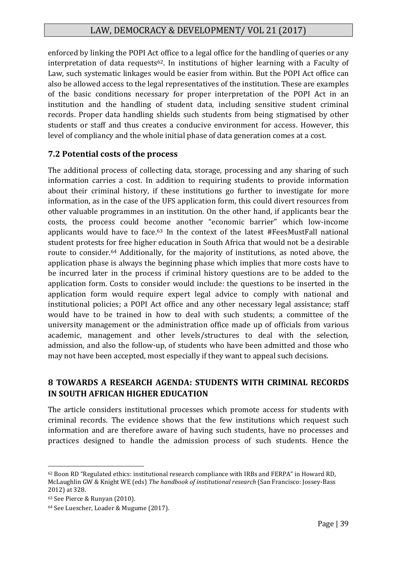enforced by linking the POPI Act office to a legal office for the handling of queries or any interpretation of data requests<sup>62</sup>. In institutions of higher learning with a Faculty of Law, such systematic linkages would be easier from within. But the POPI Act office can also be allowed access to the legal representatives of the institution. These are examples of the basic conditions necessary for proper interpretation of the POPI Act in an institution and the handling of student data, including sensitive student criminal records. Proper data handling shields such students from being stigmatised by other students or staff and thus creates a conducive environment for access. However, this level of compliancy and the whole initial phase of data generation comes at a cost.

## **7.2 Potential costs of the process**

The additional process of collecting data, storage, processing and any sharing of such information carries a cost. In addition to requiring students to provide information about their criminal history, if these institutions go further to investigate for more information, as in the case of the UFS application form, this could divert resources from other valuable programmes in an institution. On the other hand, if applicants bear the costs, the process could become another "economic barrier" which low-income applicants would have to face. <sup>63</sup> In the context of the latest #FeesMustFall national student protests for free higher education in South Africa that would not be a desirable route to consider. <sup>64</sup> Additionally, for the majority of institutions, as noted above, the application phase is always the beginning phase which implies that more costs have to be incurred later in the process if criminal history questions are to be added to the application form. Costs to consider would include: the questions to be inserted in the application form would require expert legal advice to comply with national and institutional policies; a POPI Act office and any other necessary legal assistance; staff would have to be trained in how to deal with such students; a committee of the university management or the administration office made up of officials from various academic, management and other levels/structures to deal with the selection, admission, and also the follow-up, of students who have been admitted and those who may not have been accepted, most especially if they want to appeal such decisions.

## **8 TOWARDS A RESEARCH AGENDA: STUDENTS WITH CRIMINAL RECORDS IN SOUTH AFRICAN HIGHER EDUCATION**

The article considers institutional processes which promote access for students with criminal records. The evidence shows that the few institutions which request such information and are therefore aware of having such students, have no processes and practices designed to handle the admission process of such students. Hence the

<sup>62</sup> Boon RD "Regulated ethics: institutional research compliance with IRBs and FERPA" in Howard RD, McLaughlin GW & Knight WE (eds) *The handbook of institutional research* (San Francisco: Jossey-Bass 2012) at 328.

<sup>63</sup> See Pierce & Runyan (2010).

<sup>64</sup> See Luescher, Loader & Mugume (2017).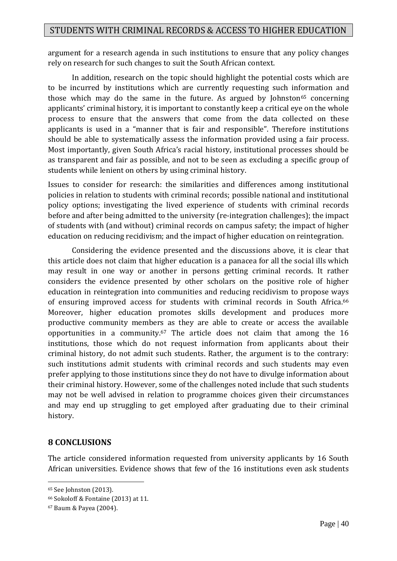argument for a research agenda in such institutions to ensure that any policy changes rely on research for such changes to suit the South African context.

In addition, research on the topic should highlight the potential costs which are to be incurred by institutions which are currently requesting such information and those which may do the same in the future. As argued by Johnston<sup>65</sup> concerning applicants' criminal history, it is important to constantly keep a critical eye on the whole process to ensure that the answers that come from the data collected on these applicants is used in a "manner that is fair and responsible". Therefore institutions should be able to systematically assess the information provided using a fair process. Most importantly, given South Africa's racial history, institutional processes should be as transparent and fair as possible, and not to be seen as excluding a specific group of students while lenient on others by using criminal history.

Issues to consider for research: the similarities and differences among institutional policies in relation to students with criminal records; possible national and institutional policy options; investigating the lived experience of students with criminal records before and after being admitted to the university (re-integration challenges); the impact of students with (and without) criminal records on campus safety; the impact of higher education on reducing recidivism; and the impact of higher education on reintegration.

Considering the evidence presented and the discussions above, it is clear that this article does not claim that higher education is a panacea for all the social ills which may result in one way or another in persons getting criminal records. It rather considers the evidence presented by other scholars on the positive role of higher education in reintegration into communities and reducing recidivism to propose ways of ensuring improved access for students with criminal records in South Africa.<sup>66</sup> Moreover, higher education promotes skills development and produces more productive community members as they are able to create or access the available opportunities in a community. <sup>67</sup> The article does not claim that among the 16 institutions, those which do not request information from applicants about their criminal history, do not admit such students. Rather, the argument is to the contrary: such institutions admit students with criminal records and such students may even prefer applying to those institutions since they do not have to divulge information about their criminal history. However, some of the challenges noted include that such students may not be well advised in relation to programme choices given their circumstances and may end up struggling to get employed after graduating due to their criminal history.

## **8 CONCLUSIONS**

The article considered information requested from university applicants by 16 South African universities. Evidence shows that few of the 16 institutions even ask students

<sup>65</sup> See Johnston (2013).

<sup>66</sup> Sokoloff & Fontaine (2013) at 11.

<sup>67</sup> Baum & Payea (2004).